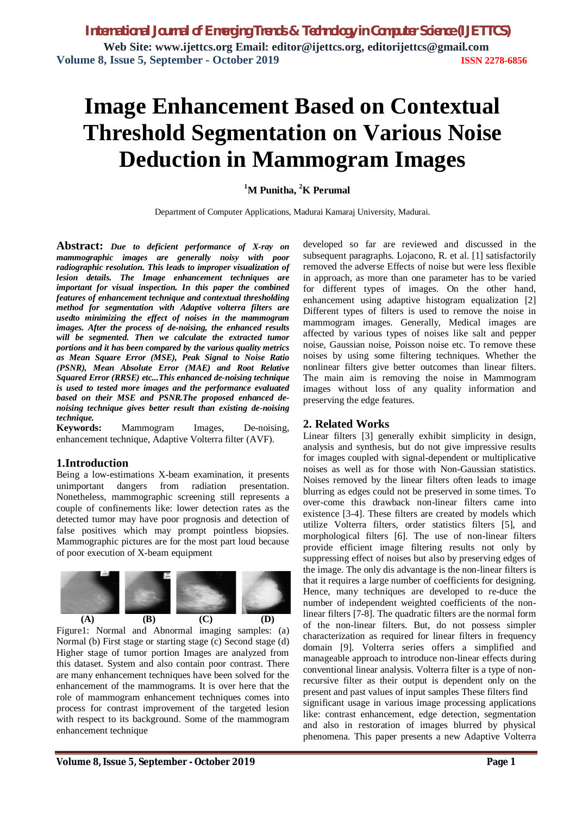# **Image Enhancement Based on Contextual Threshold Segmentation on Various Noise Deduction in Mammogram Images**

**<sup>1</sup>M Punitha, <sup>2</sup>K Perumal**

Department of Computer Applications, Madurai Kamaraj University, Madurai.

**Abstract:** *Due to deficient performance of X-ray on mammographic images are generally noisy with poor radiographic resolution. This leads to improper visualization of lesion details. The Image enhancement techniques are important for visual inspection. In this paper the combined features of enhancement technique and contextual thresholding method for segmentation with Adaptive volterra filters are usedto minimizing the effect of noises in the mammogram images. After the process of de-noising, the enhanced results*  will be segmented. Then we calculate the extracted tumor *portions and it has been compared by the various quality metrics as Mean Square Error (MSE), Peak Signal to Noise Ratio (PSNR), Mean Absolute Error (MAE) and Root Relative Squared Error (RRSE) etc...This enhanced de-noising technique is used to tested more images and the performance evaluated based on their MSE and PSNR.The proposed enhanced denoising technique gives better result than existing de-noising technique.*

**Keywords:** Mammogram Images, De-noising, enhancement technique, Adaptive Volterra filter (AVF).

## **1.Introduction**

Being a low-estimations X-beam examination, it presents unimportant dangers from radiation presentation. Nonetheless, mammographic screening still represents a couple of confinements like: lower detection rates as the detected tumor may have poor prognosis and detection of false positives which may prompt pointless biopsies. Mammographic pictures are for the most part loud because of poor execution of X-beam equipment



Figure1: Normal and Abnormal imaging samples: (a) Normal (b) First stage or starting stage (c) Second stage (d) Higher stage of tumor portion Images are analyzed from this dataset. System and also contain poor contrast. There are many enhancement techniques have been solved for the enhancement of the mammograms. It is over here that the role of mammogram enhancement techniques comes into process for contrast improvement of the targeted lesion with respect to its background. Some of the mammogram enhancement technique

developed so far are reviewed and discussed in the subsequent paragraphs. Lojacono, R. et al. [1] satisfactorily removed the adverse Effects of noise but were less flexible in approach, as more than one parameter has to be varied for different types of images. On the other hand, enhancement using adaptive histogram equalization [2] Different types of filters is used to remove the noise in mammogram images. Generally, Medical images are affected by various types of noises like salt and pepper noise, Gaussian noise, Poisson noise etc. To remove these noises by using some filtering techniques. Whether the nonlinear filters give better outcomes than linear filters. The main aim is removing the noise in Mammogram images without loss of any quality information and preserving the edge features.

### **2. Related Works**

Linear filters [3] generally exhibit simplicity in design, analysis and synthesis, but do not give impressive results for images coupled with signal-dependent or multiplicative noises as well as for those with Non-Gaussian statistics. Noises removed by the linear filters often leads to image blurring as edges could not be preserved in some times. To over-come this drawback non-linear filters came into existence [3-4]. These filters are created by models which utilize Volterra filters, order statistics filters [5], and morphological filters [6]. The use of non-linear filters provide efficient image filtering results not only by suppressing effect of noises but also by preserving edges of the image. The only dis advantage is the non-linear filters is that it requires a large number of coefficients for designing. Hence, many techniques are developed to re-duce the number of independent weighted coefficients of the nonlinear filters [7-8]. The quadratic filters are the normal form of the non-linear filters. But, do not possess simpler characterization as required for linear filters in frequency domain [9]. Volterra series offers a simplified and manageable approach to introduce non-linear effects during conventional linear analysis. Volterra filter is a type of nonrecursive filter as their output is dependent only on the present and past values of input samples These filters find significant usage in various image processing applications like: contrast enhancement, edge detection, segmentation and also in restoration of images blurred by physical phenomena. This paper presents a new Adaptive Volterra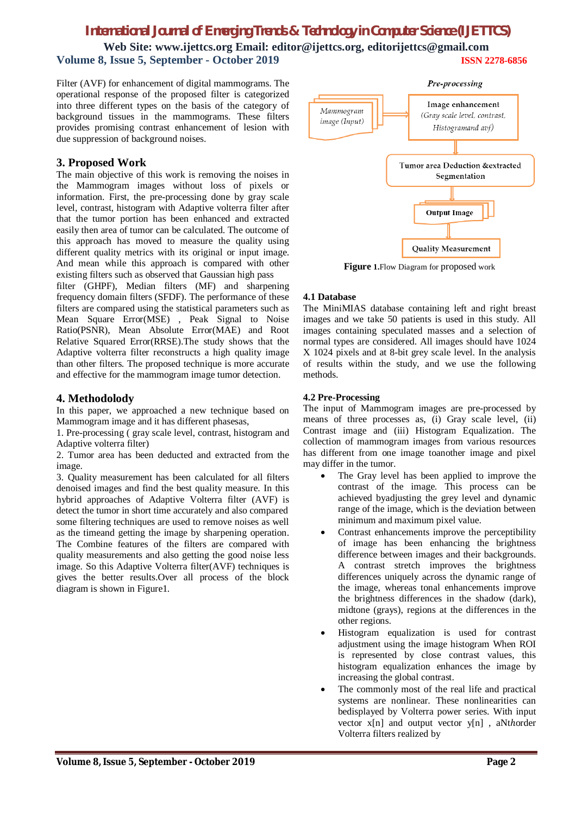**Web Site: www.ijettcs.org Email: editor@ijettcs.org, [editorijettcs@gmail.com](mailto:editorijettcs@gmail.com)  Volume 8, Issue 5, September - October 2019 ISSN 2278-6856**

Filter (AVF) for enhancement of digital mammograms. The operational response of the proposed filter is categorized into three different types on the basis of the category of background tissues in the mammograms. These filters provides promising contrast enhancement of lesion with due suppression of background noises.

## **3. Proposed Work**

The main objective of this work is removing the noises in the Mammogram images without loss of pixels or information. First, the pre-processing done by gray scale level, contrast, histogram with Adaptive volterra filter after that the tumor portion has been enhanced and extracted easily then area of tumor can be calculated. The outcome of this approach has moved to measure the quality using different quality metrics with its original or input image. And mean while this approach is compared with other existing filters such as observed that Gaussian high pass

filter (GHPF), Median filters (MF) and sharpening frequency domain filters (SFDF). The performance of these filters are compared using the statistical parameters such as Mean Square Error(MSE) , Peak Signal to Noise Ratio(PSNR), Mean Absolute Error(MAE) and Root Relative Squared Error(RRSE).The study shows that the Adaptive volterra filter reconstructs a high quality image than other filters. The proposed technique is more accurate and effective for the mammogram image tumor detection.

## **4. Methodolody**

In this paper, we approached a new technique based on Mammogram image and it has different phasesas,

1. Pre-processing ( gray scale level, contrast, histogram and Adaptive volterra filter)

2. Tumor area has been deducted and extracted from the image.

3. Quality measurement has been calculated for all filters denoised images and find the best quality measure. In this hybrid approaches of Adaptive Volterra filter (AVF) is detect the tumor in short time accurately and also compared some filtering techniques are used to remove noises as well as the timeand getting the image by sharpening operation. The Combine features of the filters are compared with quality measurements and also getting the good noise less image. So this Adaptive Volterra filter(AVF) techniques is gives the better results.Over all process of the block diagram is shown in Figure1.



**Figure 1.**Flow Diagram for proposed work

#### **4.1 Database**

The MiniMIAS database containing left and right breast images and we take 50 patients is used in this study. All images containing speculated masses and a selection of normal types are considered. All images should have 1024 X 1024 pixels and at 8-bit grey scale level. In the analysis of results within the study, and we use the following methods.

#### **4.2 Pre-Processing**

The input of Mammogram images are pre-processed by means of three processes as, (i) Gray scale level, (ii) Contrast image and (iii) Histogram Equalization. The collection of mammogram images from various resources has different from one image toanother image and pixel may differ in the tumor.

- The Gray level has been applied to improve the contrast of the image. This process can be achieved byadjusting the grey level and dynamic range of the image, which is the deviation between minimum and maximum pixel value.
- Contrast enhancements improve the perceptibility of image has been enhancing the brightness difference between images and their backgrounds. A contrast stretch improves the brightness differences uniquely across the dynamic range of the image, whereas tonal enhancements improve the brightness differences in the shadow (dark), midtone (grays), regions at the differences in the other regions.
- Histogram equalization is used for contrast adjustment using the image histogram When ROI is represented by close contrast values, this histogram equalization enhances the image by increasing the global contrast.
- The commonly most of the real life and practical systems are nonlinear. These nonlinearities can bedisplayed by Volterra power series. With input vector x[n] and output vector y[n], aNthorder Volterra filters realized by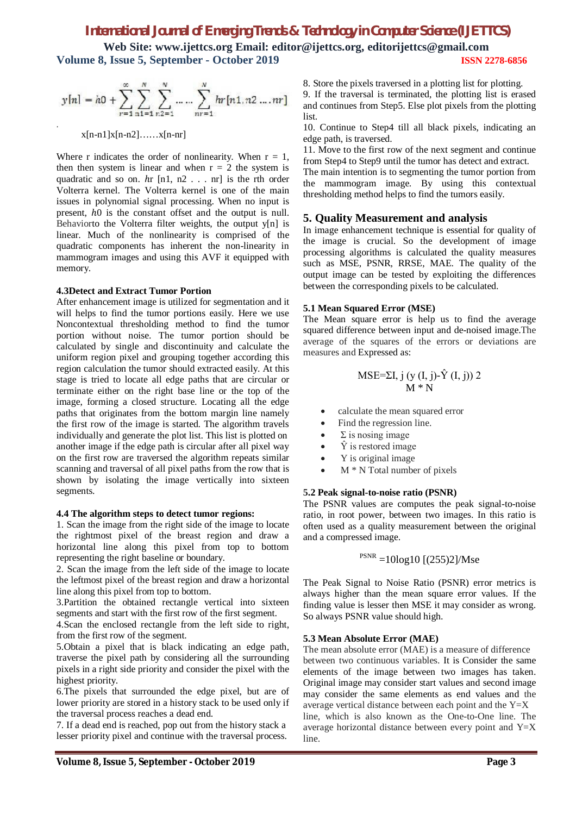**Web Site: www.ijettcs.org Email: editor@ijettcs.org, [editorijettcs@gmail.com](mailto:editorijettcs@gmail.com)  Volume 8, Issue 5, September - October 2019 ISSN 2278-6856**

$$
y[n] = h0 + \sum_{r=1}^{\infty} \sum_{n=1}^{N} \sum_{n=1}^{N} \dots \sum_{nr=1}^{N} hr[n1, n2 \dots nr]
$$

x[n-n1]x[n-n2]……x[n-nr]

Where r indicates the order of nonlinearity. When  $r = 1$ , then then system is linear and when  $r = 2$  the system is quadratic and so on.  $hr$  [n1, n2, ... nr] is the rth order Volterra kernel. The Volterra kernel is one of the main issues in polynomial signal processing. When no input is present,  $h0$  is the constant offset and the output is null. Behaviorto the Volterra filter weights, the output y[n] is linear. Much of the nonlinearity is comprised of the quadratic components has inherent the non-linearity in mammogram images and using this AVF it equipped with memory.

#### **4.3Detect and Extract Tumor Portion**

After enhancement image is utilized for segmentation and it will helps to find the tumor portions easily. Here we use Noncontextual thresholding method to find the tumor portion without noise. The tumor portion should be calculated by single and discontinuity and calculate the uniform region pixel and grouping together according this region calculation the tumor should extracted easily. At this stage is tried to locate all edge paths that are circular or terminate either on the right base line or the top of the image, forming a closed structure. Locating all the edge paths that originates from the bottom margin line namely the first row of the image is started. The algorithm travels individually and generate the plot list. This list is plotted on another image if the edge path is circular after all pixel way on the first row are traversed the algorithm repeats similar scanning and traversal of all pixel paths from the row that is shown by isolating the image vertically into sixteen segments.

#### **4.4 The algorithm steps to detect tumor regions:**

1. Scan the image from the right side of the image to locate the rightmost pixel of the breast region and draw a horizontal line along this pixel from top to bottom representing the right baseline or boundary.

2. Scan the image from the left side of the image to locate the leftmost pixel of the breast region and draw a horizontal line along this pixel from top to bottom.

3.Partition the obtained rectangle vertical into sixteen segments and start with the first row of the first segment.

4.Scan the enclosed rectangle from the left side to right, from the first row of the segment.

5.Obtain a pixel that is black indicating an edge path, traverse the pixel path by considering all the surrounding pixels in a right side priority and consider the pixel with the highest priority.

6.The pixels that surrounded the edge pixel, but are of lower priority are stored in a history stack to be used only if the traversal process reaches a dead end.

7. If a dead end is reached, pop out from the history stack a lesser priority pixel and continue with the traversal process. 8. Store the pixels traversed in a plotting list for plotting.

9. If the traversal is terminated, the plotting list is erased and continues from Step5. Else plot pixels from the plotting list.

10. Continue to Step4 till all black pixels, indicating an edge path, is traversed.

11. Move to the first row of the next segment and continue from Step4 to Step9 until the tumor has detect and extract.

The main intention is to segmenting the tumor portion from the mammogram image. By using this contextual thresholding method helps to find the tumors easily.

#### **5. Quality Measurement and analysis**

In image enhancement technique is essential for quality of the image is crucial. So the development of image processing algorithms is calculated the quality measures such as MSE, PSNR, RRSE, MAE. The quality of the output image can be tested by exploiting the differences between the corresponding pixels to be calculated.

#### **5.1 Mean Squared Error (MSE)**

The Mean square error is help us to find the average squared difference between input and de-noised image.The average of the squares of the errors or deviations are measures and Expressed as:

#### MSE=ΣI, j (y (I, j)-Υ̂ (I, j)) 2  $M*N$

- calculate the mean squared error
- Find the regression line.
- $Σ$  is nosing image
- $\hat{Y}$  is restored image
- Y is original image
- M \* N Total number of pixels

#### **5.2 Peak signal-to-noise ratio (PSNR)**

The PSNR values are computes the peak signal-to-noise ratio, in root power, between two images. In this ratio is often used as a quality measurement between the original and a compressed image.

 $PSNR = 10log10$  [(255)2]/Mse

The Peak Signal to Noise Ratio (PSNR) error metrics is always higher than the mean square error values. If the finding value is lesser then MSE it may consider as wrong. So always PSNR value should high.

#### **5.3 Mean Absolute Error (MAE)**

The mean absolute error (MAE) is a measure of difference between two continuous variables. It is Consider the same elements of the image between two images has taken. Original image may consider start values and second image may consider the same elements as end values and the average vertical distance between each point and the Y=X line, which is also known as the One-to-One line. The average horizontal distance between every point and  $Y=X$ line.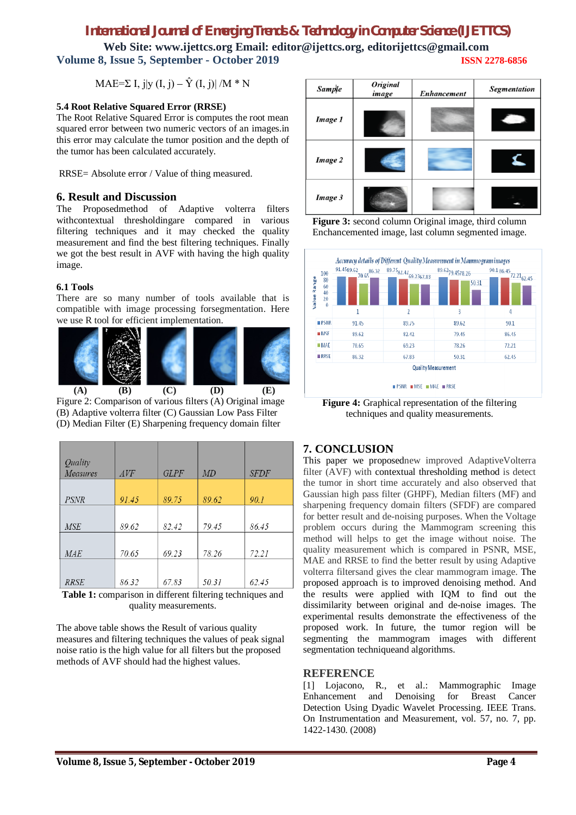**Web Site: www.ijettcs.org Email: editor@ijettcs.org, [editorijettcs@gmail.com](mailto:editorijettcs@gmail.com)  Volume 8, Issue 5, September - October 2019 ISSN 2278-6856**

MAE=Σ I, j|v (I, j) –  $\hat{Y}$  (I, j)| /M  $*$  N

#### **5.4 Root Relative Squared Error (RRSE)**

The Root Relative Squared Error is computes the root mean squared error between two numeric vectors of an images.in this error may calculate the tumor position and the depth of the tumor has been calculated accurately.

RRSE= Absolute error / Value of thing measured.

### **6. Result and Discussion**

The Proposedmethod of Adaptive volterra filters withcontextual thresholdingare compared in various filtering techniques and it may checked the quality measurement and find the best filtering techniques. Finally we got the best result in AVF with having the high quality image.

### **6.1 Tools**

There are so many number of tools available that is compatible with image processing forsegmentation. Here we use R tool for efficient implementation.



Figure 2: Comparison of various filters (A) Original image (B) Adaptive volterra filter (C) Gaussian Low Pass Filter (D) Median Filter (E) Sharpening frequency domain filter

| Quality     |       |       |       |             |
|-------------|-------|-------|-------|-------------|
| Measures    | AVF   | GLPF  | MD    | <b>SFDF</b> |
|             |       |       |       |             |
| <b>PSNR</b> | 91.45 | 89.75 | 89.62 | 90.1        |
|             |       |       |       |             |
| <b>MSE</b>  | 89.62 | 82.42 | 79.45 | 86.45       |
|             |       |       |       |             |
| <b>MAE</b>  | 70.65 | 69.23 | 78.26 | 72.21       |
|             |       |       |       |             |
| <b>RRSE</b> | 86.32 | 67.83 | 50.31 | 62.45       |

**Table 1:** comparison in different filtering techniques and quality measurements.

The above table shows the Result of various quality measures and filtering techniques the values of peak signal noise ratio is the high value for all filters but the proposed methods of AVF should had the highest values.







**Figure 4:** Graphical representation of the filtering techniques and quality measurements.

# **7. CONCLUSION**

This paper we proposednew improved AdaptiveVolterra filter (AVF) with contextual thresholding method is detect the tumor in short time accurately and also observed that Gaussian high pass filter (GHPF), Median filters (MF) and sharpening frequency domain filters (SFDF) are compared for better result and de-noising purposes. When the Voltage problem occurs during the Mammogram screening this method will helps to get the image without noise. The quality measurement which is compared in PSNR, MSE, MAE and RRSE to find the better result by using Adaptive volterra filtersand gives the clear mammogram image. The proposed approach is to improved denoising method. And the results were applied with IQM to find out the dissimilarity between original and de-noise images. The experimental results demonstrate the effectiveness of the proposed work. In future, the tumor region will be segmenting the mammogram images with different segmentation techniqueand algorithms.

## **REFERENCE**

[1] Lojacono, R., et al.: Mammographic Image Enhancement and Denoising for Breast Cancer Detection Using Dyadic Wavelet Processing. IEEE Trans. On Instrumentation and Measurement, vol. 57, no. 7, pp. 1422-1430. (2008)